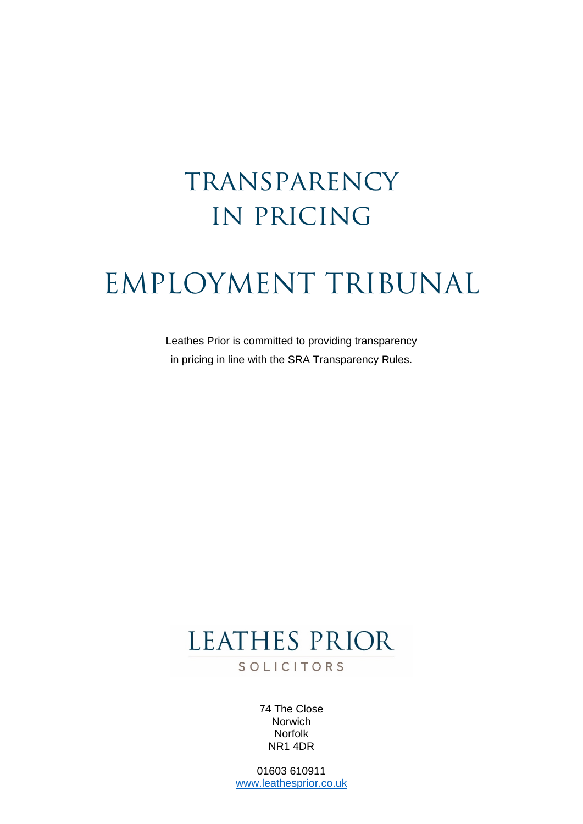## **TRANSPARENCY** in pricing

# EMPLOYMENT TRIBUNAL

Leathes Prior is committed to providing transparency in pricing in line with the SRA Transparency Rules.

# **LEATHES PRIOR**

### SOLICITORS

74 The Close Norwich Norfolk NR1 4DR

01603 610911 www.leathesprior.co.uk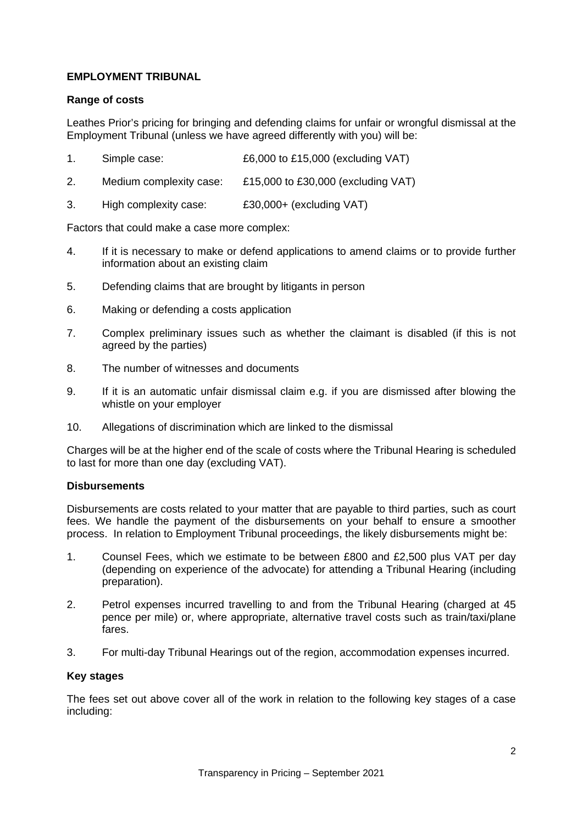### **EMPLOYMENT TRIBUNAL**

#### **Range of costs**

Leathes Prior's pricing for bringing and defending claims for unfair or wrongful dismissal at the Employment Tribunal (unless we have agreed differently with you) will be:

|              | £6,000 to £15,000 (excluding VAT) |
|--------------|-----------------------------------|
| Simple case: |                                   |
|              |                                   |

- 2. Medium complexity case: £15,000 to £30,000 (excluding VAT)
- 3. High complexity case: £30,000+ (excluding VAT)

Factors that could make a case more complex:

- 4. If it is necessary to make or defend applications to amend claims or to provide further information about an existing claim
- 5. Defending claims that are brought by litigants in person
- 6. Making or defending a costs application
- 7. Complex preliminary issues such as whether the claimant is disabled (if this is not agreed by the parties)
- 8. The number of witnesses and documents
- 9. If it is an automatic unfair dismissal claim e.g. if you are dismissed after blowing the whistle on your employer
- 10. Allegations of discrimination which are linked to the dismissal

Charges will be at the higher end of the scale of costs where the Tribunal Hearing is scheduled to last for more than one day (excluding VAT).

#### **Disbursements**

Disbursements are costs related to your matter that are payable to third parties, such as court fees. We handle the payment of the disbursements on your behalf to ensure a smoother process. In relation to Employment Tribunal proceedings, the likely disbursements might be:

- 1. Counsel Fees, which we estimate to be between £800 and £2,500 plus VAT per day (depending on experience of the advocate) for attending a Tribunal Hearing (including preparation).
- 2. Petrol expenses incurred travelling to and from the Tribunal Hearing (charged at 45 pence per mile) or, where appropriate, alternative travel costs such as train/taxi/plane fares.
- 3. For multi-day Tribunal Hearings out of the region, accommodation expenses incurred.

#### **Key stages**

The fees set out above cover all of the work in relation to the following key stages of a case including: